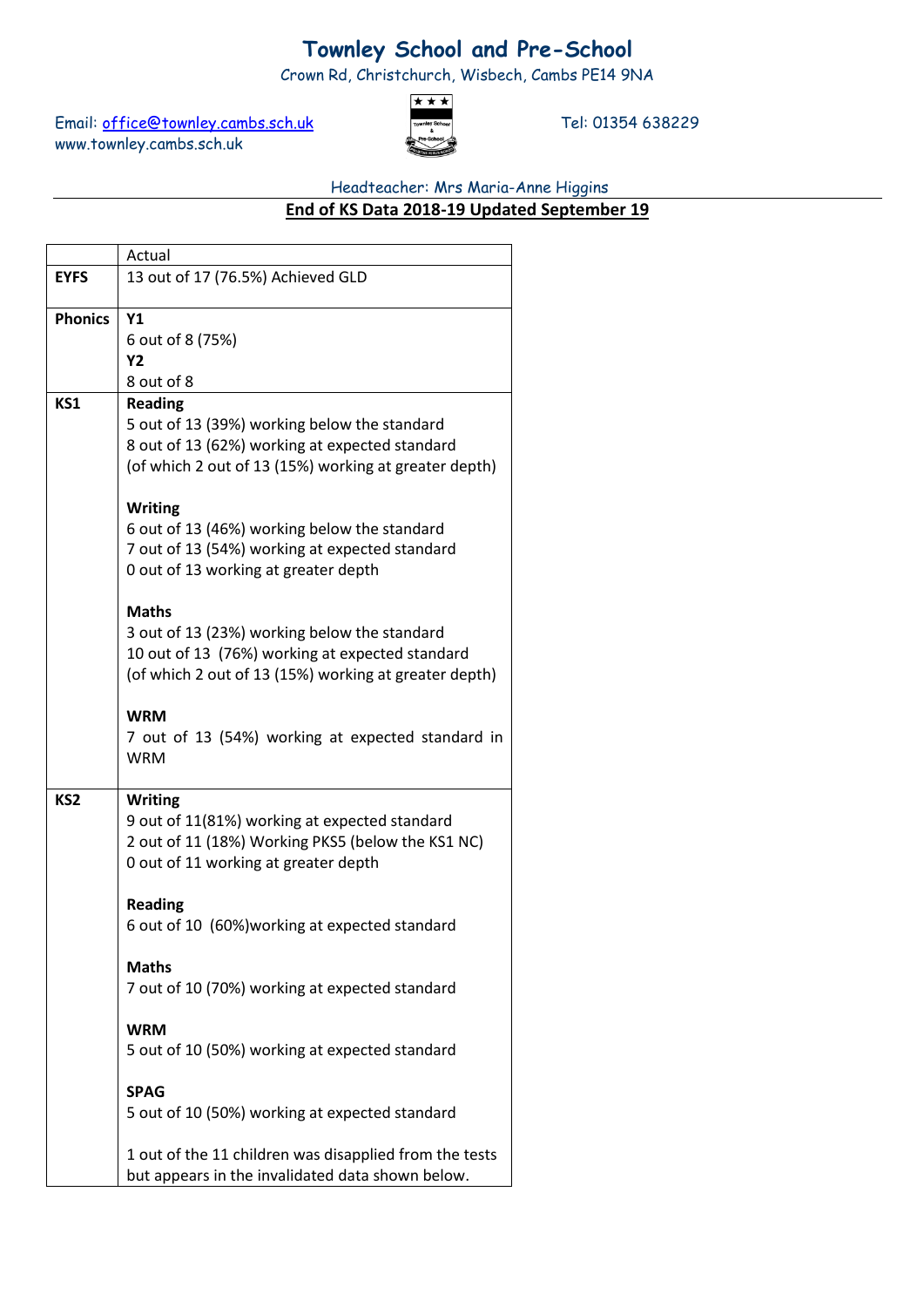## **Townley School and Pre-School**

Crown Rd, Christchurch, Wisbech, Cambs PE14 9NA

Email: [office@townley.cambs.sch.uk](mailto:office@townley.cambs.sch.uk) Tel: 01354 638229 www.townley.cambs.sch.uk



## Headteacher: Mrs Maria-Anne Higgins

## **End of KS Data 2018-19 Updated September 19**

|                 | Actual                                                                                    |  |  |  |  |  |  |  |
|-----------------|-------------------------------------------------------------------------------------------|--|--|--|--|--|--|--|
| <b>EYFS</b>     | 13 out of 17 (76.5%) Achieved GLD                                                         |  |  |  |  |  |  |  |
|                 |                                                                                           |  |  |  |  |  |  |  |
| <b>Phonics</b>  | Y <sub>1</sub>                                                                            |  |  |  |  |  |  |  |
|                 | 6 out of 8 (75%)                                                                          |  |  |  |  |  |  |  |
|                 | Y2                                                                                        |  |  |  |  |  |  |  |
|                 | 8 out of 8                                                                                |  |  |  |  |  |  |  |
| KS1             | <b>Reading</b>                                                                            |  |  |  |  |  |  |  |
|                 | 5 out of 13 (39%) working below the standard                                              |  |  |  |  |  |  |  |
|                 | 8 out of 13 (62%) working at expected standard                                            |  |  |  |  |  |  |  |
|                 | (of which 2 out of 13 (15%) working at greater depth)                                     |  |  |  |  |  |  |  |
|                 | <b>Writing</b>                                                                            |  |  |  |  |  |  |  |
|                 | 6 out of 13 (46%) working below the standard                                              |  |  |  |  |  |  |  |
|                 | 7 out of 13 (54%) working at expected standard                                            |  |  |  |  |  |  |  |
|                 | 0 out of 13 working at greater depth                                                      |  |  |  |  |  |  |  |
|                 |                                                                                           |  |  |  |  |  |  |  |
|                 | <b>Maths</b>                                                                              |  |  |  |  |  |  |  |
|                 | 3 out of 13 (23%) working below the standard                                              |  |  |  |  |  |  |  |
|                 | 10 out of 13 (76%) working at expected standard                                           |  |  |  |  |  |  |  |
|                 | (of which 2 out of 13 (15%) working at greater depth)                                     |  |  |  |  |  |  |  |
|                 |                                                                                           |  |  |  |  |  |  |  |
|                 | <b>WRM</b>                                                                                |  |  |  |  |  |  |  |
|                 | 7 out of 13 (54%) working at expected standard in                                         |  |  |  |  |  |  |  |
|                 | <b>WRM</b>                                                                                |  |  |  |  |  |  |  |
|                 |                                                                                           |  |  |  |  |  |  |  |
| KS <sub>2</sub> | <b>Writing</b>                                                                            |  |  |  |  |  |  |  |
|                 | 9 out of 11(81%) working at expected standard                                             |  |  |  |  |  |  |  |
|                 | 2 out of 11 (18%) Working PKS5 (below the KS1 NC)<br>0 out of 11 working at greater depth |  |  |  |  |  |  |  |
|                 |                                                                                           |  |  |  |  |  |  |  |
|                 | <b>Reading</b>                                                                            |  |  |  |  |  |  |  |
|                 | 6 out of 10 (60%) working at expected standard                                            |  |  |  |  |  |  |  |
|                 |                                                                                           |  |  |  |  |  |  |  |
|                 | <b>Maths</b>                                                                              |  |  |  |  |  |  |  |
|                 | 7 out of 10 (70%) working at expected standard                                            |  |  |  |  |  |  |  |
|                 |                                                                                           |  |  |  |  |  |  |  |
|                 | <b>WRM</b>                                                                                |  |  |  |  |  |  |  |
|                 | 5 out of 10 (50%) working at expected standard                                            |  |  |  |  |  |  |  |
|                 |                                                                                           |  |  |  |  |  |  |  |
|                 | <b>SPAG</b>                                                                               |  |  |  |  |  |  |  |
|                 | 5 out of 10 (50%) working at expected standard                                            |  |  |  |  |  |  |  |
|                 | 1 out of the 11 children was disapplied from the tests                                    |  |  |  |  |  |  |  |
|                 | but appears in the invalidated data shown below.                                          |  |  |  |  |  |  |  |
|                 |                                                                                           |  |  |  |  |  |  |  |